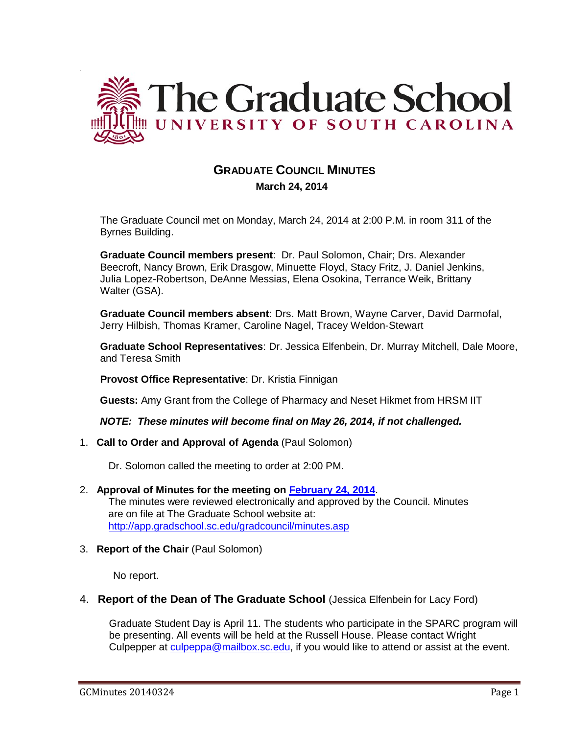

# **GRADUATE COUNCIL MINUTES**

 **March 24, 2014**

The Graduate Council met on Monday, March 24, 2014 at 2:00 P.M. in room 311 of the Byrnes Building.

**Graduate Council members present**: Dr. Paul Solomon, Chair; Drs. Alexander Beecroft, Nancy Brown, Erik Drasgow, Minuette Floyd, Stacy Fritz, J. Daniel Jenkins, Julia Lopez-Robertson, DeAnne Messias, Elena Osokina, Terrance Weik, Brittany Walter (GSA).

**Graduate Council members absent**: Drs. Matt Brown, Wayne Carver, David Darmofal, Jerry Hilbish, Thomas Kramer, Caroline Nagel, Tracey Weldon-Stewart

**Graduate School Representatives**: Dr. Jessica Elfenbein, Dr. Murray Mitchell, Dale Moore, and Teresa Smith

**Provost Office Representative**: Dr. Kristia Finnigan

**Guests:** Amy Grant from the College of Pharmacy and Neset Hikmet from HRSM IIT

*NOTE: These minutes will become final on May 26, 2014, if not challenged.*

1. **Call to Order and Approval of Agenda** (Paul Solomon)

Dr. Solomon called the meeting to order at 2:00 PM.

- 2. **Approval of Minutes for the meeting on [February 24, 2014](http://gradschool.sc.edu/facstaff/gradcouncil/2013/GC%20AGENDA%202%2024%2014m.pdf)**. The minutes were reviewed electronically and approved by the Council. Minutes are on file at The Graduate School website at: <http://app.gradschool.sc.edu/gradcouncil/minutes.asp>
- 3. **Report of the Chair** (Paul Solomon)

No report.

4. **Report of the Dean of The Graduate School** (Jessica Elfenbein for Lacy Ford)

Graduate Student Day is April 11. The students who participate in the SPARC program will be presenting. All events will be held at the Russell House. Please contact Wright Culpepper at [culpeppa@mailbox.sc.edu,](mailto:culpeppa@mailbox.sc.edu) if you would like to attend or assist at the event.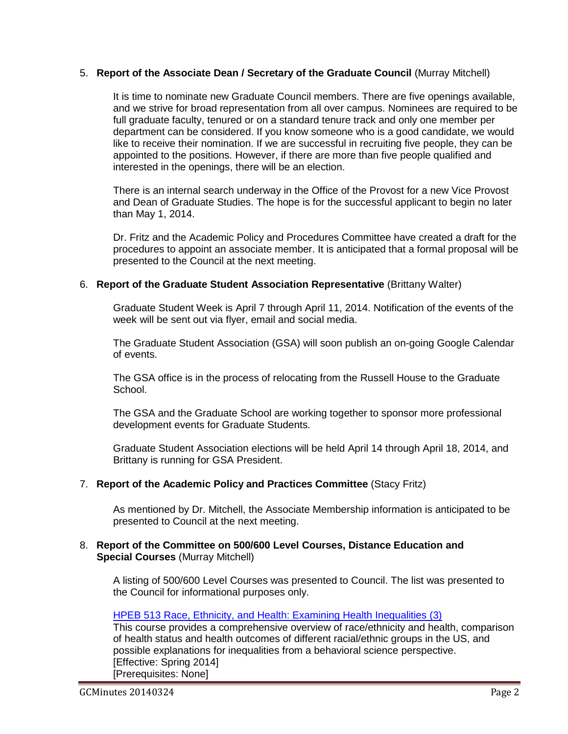## 5. **Report of the Associate Dean / Secretary of the Graduate Council** (Murray Mitchell)

It is time to nominate new Graduate Council members. There are five openings available, and we strive for broad representation from all over campus. Nominees are required to be full graduate faculty, tenured or on a standard tenure track and only one member per department can be considered. If you know someone who is a good candidate, we would like to receive their nomination. If we are successful in recruiting five people, they can be appointed to the positions. However, if there are more than five people qualified and interested in the openings, there will be an election.

There is an internal search underway in the Office of the Provost for a new Vice Provost and Dean of Graduate Studies. The hope is for the successful applicant to begin no later than May 1, 2014.

Dr. Fritz and the Academic Policy and Procedures Committee have created a draft for the procedures to appoint an associate member. It is anticipated that a formal proposal will be presented to the Council at the next meeting.

### 6. **Report of the Graduate Student Association Representative** (Brittany Walter)

Graduate Student Week is April 7 through April 11, 2014. Notification of the events of the week will be sent out via flyer, email and social media.

The Graduate Student Association (GSA) will soon publish an on-going Google Calendar of events.

The GSA office is in the process of relocating from the Russell House to the Graduate School.

The GSA and the Graduate School are working together to sponsor more professional development events for Graduate Students.

Graduate Student Association elections will be held April 14 through April 18, 2014, and Brittany is running for GSA President.

## 7. **Report of the Academic Policy and Practices Committee** (Stacy Fritz)

As mentioned by Dr. Mitchell, the Associate Membership information is anticipated to be presented to Council at the next meeting.

#### 8. **Report of the Committee on 500/600 Level Courses, Distance Education and Special Courses** (Murray Mitchell)

A listing of 500/600 Level Courses was presented to Council. The list was presented to the Council for informational purposes only.

#### HPEB 513 Race, Ethnicity, and [Health: Examining Health Inequalities \(3\)](http://gradschool.sc.edu/facstaff/gradcouncil/2013/HPEB%20513_Redacted.pdf)

This course provides a comprehensive overview of race/ethnicity and health, comparison of health status and health outcomes of different racial/ethnic groups in the US, and possible explanations for inequalities from a behavioral science perspective. [Effective: Spring 2014] [Prerequisites: None]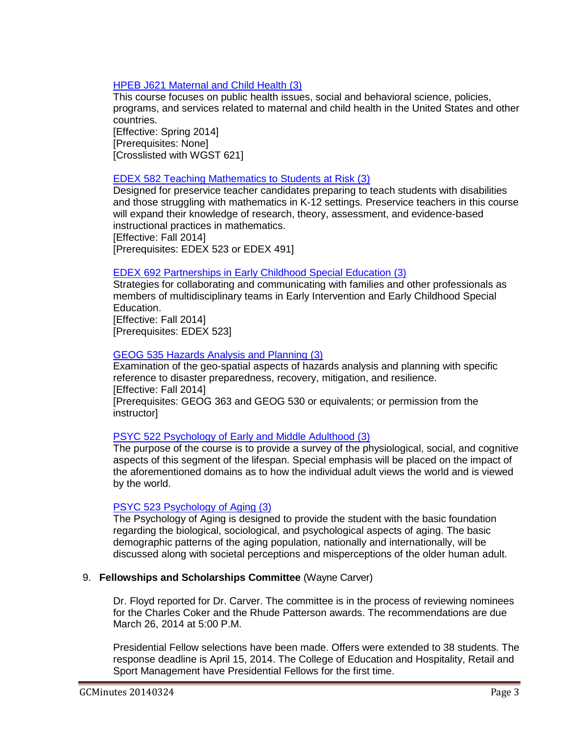## [HPEB J621 Maternal and Child Health \(3\)](http://gradschool.sc.edu/facstaff/gradcouncil/2013/HPEB%20J621_Redacted.pdf)

This course focuses on public health issues, social and behavioral science, policies, programs, and services related to maternal and child health in the United States and other countries. [Effective: Spring 2014]

[Prerequisites: None] [Crosslisted with WGST 621]

## [EDEX 582 Teaching Mathematics to Students at Risk \(3\)](http://gradschool.sc.edu/facstaff/gradcouncil/2013/edex%20582_Redacted.pdf)

Designed for preservice teacher candidates preparing to teach students with disabilities and those struggling with mathematics in K-12 settings. Preservice teachers in this course will expand their knowledge of research, theory, assessment, and evidence-based instructional practices in mathematics. [Effective: Fall 2014] [Prerequisites: EDEX 523 or EDEX 491]

## [EDEX 692 Partnerships in Early Childhood Special Education \(3\)](http://gradschool.sc.edu/facstaff/gradcouncil/2013/EDEX%20692_Redacted.pdf)

Strategies for collaborating and communicating with families and other professionals as members of multidisciplinary teams in Early Intervention and Early Childhood Special Education.

[Effective: Fall 2014] [Prerequisites: EDEX 523]

## [GEOG 535 Hazards Analysis and Planning \(3\)](http://gradschool.sc.edu/facstaff/gradcouncil/2013/geog%20535_Redacted1.pdf)

Examination of the geo-spatial aspects of hazards analysis and planning with specific reference to disaster preparedness, recovery, mitigation, and resilience. [Effective: Fall 2014] [Prerequisites: GEOG 363 and GEOG 530 or equivalents; or permission from the instructor]

## PSYC 522 Psychology [of Early and Middle Adulthood \(3\)](http://gradschool.sc.edu/facstaff/gradcouncil/2013/PSYC%20522%20-%20DED.pdf)

The purpose of the course is to provide a survey of the physiological, social, and cognitive aspects of this segment of the lifespan. Special emphasis will be placed on the impact of the aforementioned domains as to how the individual adult views the world and is viewed by the world.

## [PSYC 523 Psychology of Aging \(3\)](http://gradschool.sc.edu/facstaff/gradcouncil/2013/PSYC%20523%20-%20DED.pdf)

The Psychology of Aging is designed to provide the student with the basic foundation regarding the biological, sociological, and psychological aspects of aging. The basic demographic patterns of the aging population, nationally and internationally, will be discussed along with societal perceptions and misperceptions of the older human adult.

## 9. **Fellowships and Scholarships Committee** (Wayne Carver)

Dr. Floyd reported for Dr. Carver. The committee is in the process of reviewing nominees for the Charles Coker and the Rhude Patterson awards. The recommendations are due March 26, 2014 at 5:00 P.M.

Presidential Fellow selections have been made. Offers were extended to 38 students. The response deadline is April 15, 2014. The College of Education and Hospitality, Retail and Sport Management have Presidential Fellows for the first time.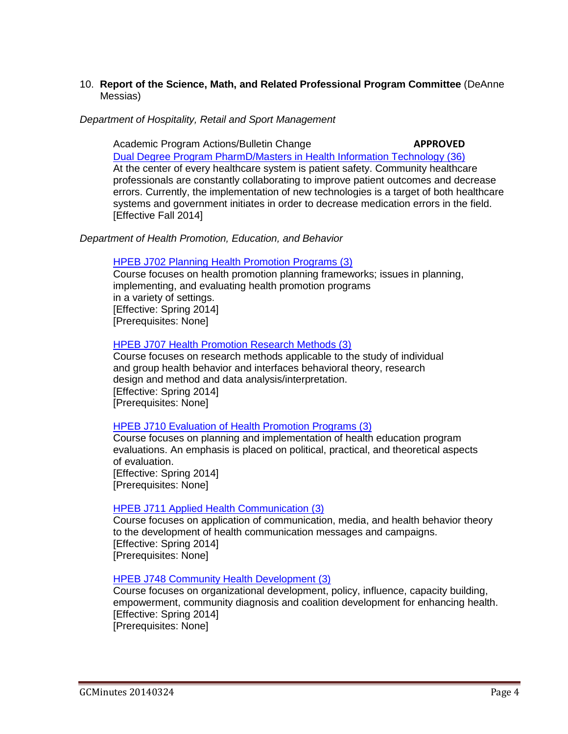## 10. **Report of the Science, Math, and Related Professional Program Committee** (DeAnne Messias)

*Department of Hospitality, Retail and Sport Management* 

Academic Program Actions/Bulletin Change **APPROVED** [Dual Degree Program PharmD/Masters in Health Information Technology \(36\)](http://gradschool.sc.edu/facstaff/gradcouncil/2013/APA%20Dual%20Degree%20Program%20PharmD-MHIT_Redacted.pdf) At the center of every healthcare system is patient safety. Community healthcare professionals are constantly collaborating to improve patient outcomes and decrease errors. Currently, the implementation of new technologies is a target of both healthcare systems and government initiates in order to decrease medication errors in the field. [Effective Fall 2014]

### *Department of Health Promotion, Education, and Behavior*

#### [HPEB J702 Planning Health Promotion Programs \(3\)](http://gradschool.sc.edu/facstaff/gradcouncil/2013/HPEB%20J702%20Planning%20HPPs_Redacted1.pdf)

Course focuses on health promotion planning frameworks; issues in planning, implementing, and evaluating health promotion programs in a variety of settings. [Effective: Spring 2014] [Prerequisites: None]

#### [HPEB J707 Health Promotion Research Methods \(3\)](http://gradschool.sc.edu/facstaff/gradcouncil/2013/HPEB%20J707%20Health%20Promotion%20Research%20Methods_Redacted1.pdf)

Course focuses on research methods applicable to the study of individual and group health behavior and interfaces behavioral theory, research design and method and data analysis/interpretation. [Effective: Spring 2014] [Prerequisites: None]

#### [HPEB J710 Evaluation of Health Promotion Programs \(3\)](http://gradschool.sc.edu/facstaff/gradcouncil/2013/HPEB%20J710%20Evaluation%20of%20Health%20Promotion%20Programs_Redacted2.pdf)

Course focuses on planning and implementation of health education program evaluations. An emphasis is placed on political, practical, and theoretical aspects of evaluation. [Effective: Spring 2014] [Prerequisites: None]

#### [HPEB J711 Applied Health Communication \(3\)](http://gradschool.sc.edu/facstaff/gradcouncil/2013/HPEB%20J711%20Applied%20Health%20Communication_Redacted1.pdf)

Course focuses on application of communication, media, and health behavior theory to the development of health communication messages and campaigns. [Effective: Spring 2014] [Prerequisites: None]

[HPEB J748 Community Health Development \(3\)](http://gradschool.sc.edu/facstaff/gradcouncil/2013/HPEB%20J748%20Community%20Health%20Development_Redacted2.pdf)

Course focuses on organizational development, policy, influence, capacity building, empowerment, community diagnosis and coalition development for enhancing health. [Effective: Spring 2014] [Prerequisites: None]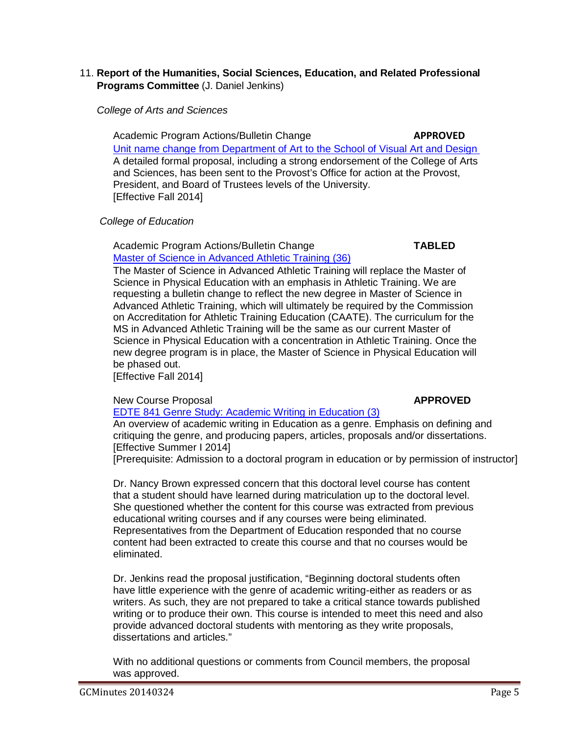## 11. **Report of the Humanities, Social Sciences, Education, and Related Professional Programs Committee** (J. Daniel Jenkins)

 *College of Arts and Sciences*

Academic Program Actions/Bulletin Change **APPROVED** [Unit name change from Department of Art to the School of Visual Art and Design](http://gradschool.sc.edu/facstaff/gradcouncil/2013/Visual%20Art%20&%20Design%20APA%20Name%20Change_Redacted.pdf)  A detailed formal proposal, including a strong endorsement of the College of Arts and Sciences, has been sent to the Provost's Office for action at the Provost, President, and Board of Trustees levels of the University. [Effective Fall 2014]

## *College of Education*

Academic Program Actions/Bulletin Change **TABLED** [Master of Science in Advanced Athletic Training](http://gradschool.sc.edu/facstaff/gradcouncil/2013/Master%20of%20Science%20in%20AthleticTraining%20APA_Redacted.pdf) (36)

The Master of Science in Advanced Athletic Training will replace the Master of Science in Physical Education with an emphasis in Athletic Training. We are requesting a bulletin change to reflect the new degree in Master of Science in Advanced Athletic Training, which will ultimately be required by the Commission on Accreditation for Athletic Training Education (CAATE). The curriculum for the MS in Advanced Athletic Training will be the same as our current Master of Science in Physical Education with a concentration in Athletic Training. Once the new degree program is in place, the Master of Science in Physical Education will be phased out.

[Effective Fall 2014]

## New Course Proposal **APPROVED**

[EDTE 841 Genre Study: Academic Writing](http://gradschool.sc.edu/facstaff/gradcouncil/2013/EDTE%20841%20NCP_Redacted.pdf) in Education (3)

An overview of academic writing in Education as a genre. Emphasis on defining and critiquing the genre, and producing papers, articles, proposals and/or dissertations. [Effective Summer I 2014]

[Prerequisite: Admission to a doctoral program in education or by permission of instructor]

Dr. Nancy Brown expressed concern that this doctoral level course has content that a student should have learned during matriculation up to the doctoral level. She questioned whether the content for this course was extracted from previous educational writing courses and if any courses were being eliminated. Representatives from the Department of Education responded that no course content had been extracted to create this course and that no courses would be eliminated.

Dr. Jenkins read the proposal justification, "Beginning doctoral students often have little experience with the genre of academic writing-either as readers or as writers. As such, they are not prepared to take a critical stance towards published writing or to produce their own. This course is intended to meet this need and also provide advanced doctoral students with mentoring as they write proposals, dissertations and articles."

With no additional questions or comments from Council members, the proposal was approved.